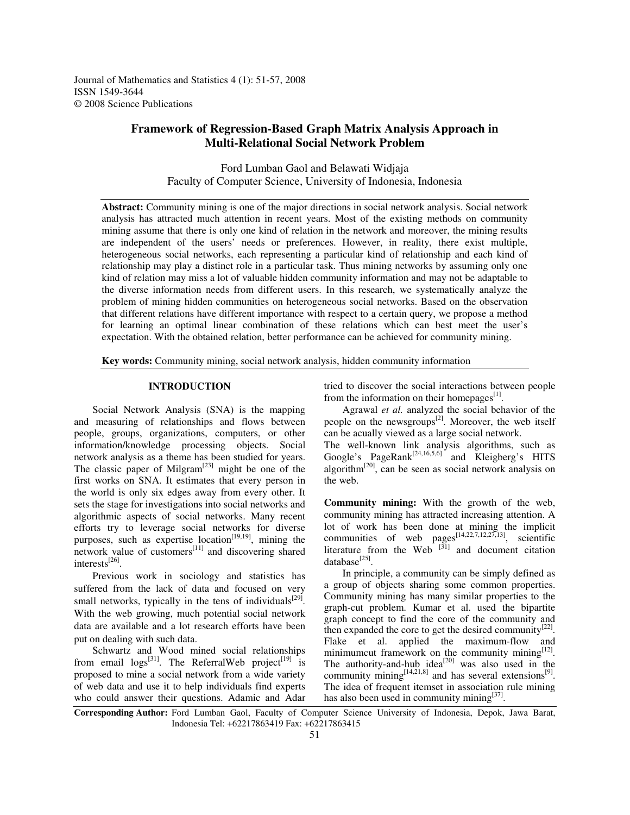Journal of Mathematics and Statistics 4 (1): 51-57, 2008 ISSN 1549-3644 © 2008 Science Publications

# **Framework of Regression-Based Graph Matrix Analysis Approach in Multi-Relational Social Network Problem**

Ford Lumban Gaol and Belawati Widjaja Faculty of Computer Science, University of Indonesia, Indonesia

**Abstract:** Community mining is one of the major directions in social network analysis. Social network analysis has attracted much attention in recent years. Most of the existing methods on community mining assume that there is only one kind of relation in the network and moreover, the mining results are independent of the users' needs or preferences. However, in reality, there exist multiple, heterogeneous social networks, each representing a particular kind of relationship and each kind of relationship may play a distinct role in a particular task. Thus mining networks by assuming only one kind of relation may miss a lot of valuable hidden community information and may not be adaptable to the diverse information needs from different users. In this research, we systematically analyze the problem of mining hidden communities on heterogeneous social networks. Based on the observation that different relations have different importance with respect to a certain query, we propose a method for learning an optimal linear combination of these relations which can best meet the user's expectation. With the obtained relation, better performance can be achieved for community mining.

**Key words:** Community mining, social network analysis, hidden community information

## **INTRODUCTION**

Social Network Analysis (SNA) is the mapping and measuring of relationships and flows between people, groups, organizations, computers, or other information/knowledge processing objects. Social network analysis as a theme has been studied for years. The classic paper of Milgram<sup>[23]</sup> might be one of the first works on SNA. It estimates that every person in the world is only six edges away from every other. It sets the stage for investigations into social networks and algorithmic aspects of social networks. Many recent efforts try to leverage social networks for diverse purposes, such as expertise location<sup>[19,19]</sup>, mining the network value of customers<sup>[11]</sup> and discovering shared interests<sup>[26]</sup>.

Previous work in sociology and statistics has suffered from the lack of data and focused on very small networks, typically in the tens of individuals<sup>[29]</sup>. With the web growing, much potential social network data are available and a lot research efforts have been put on dealing with such data.

Schwartz and Wood mined social relationships from email  $\log s^{[31]}$ . The ReferralWeb project<sup>[19]</sup> is proposed to mine a social network from a wide variety of web data and use it to help individuals find experts who could answer their questions. Adamic and Adar tried to discover the social interactions between people from the information on their homepages $^{[1]}$ .

Agrawal *et al.* analyzed the social behavior of the people on the newsgroups<sup>[2]</sup>. Moreover, the web itself can be acually viewed as a large social network.

The well-known link analysis algorithms, such as Google's PageRank<sup>[24,16,5,6]</sup> and Kleigberg's HITS algorithm<sup>[20]</sup>, can be seen as social network analysis on the web.

**Community mining:** With the growth of the web, community mining has attracted increasing attention. A lot of work has been done at mining the implicit communities of web pages<sup>[14,22,7,12,27,13]</sup>, scientific literature from the Web  $^{[3]}$  and document citation database<sup>[25]</sup>.

In principle, a community can be simply defined as a group of objects sharing some common properties. Community mining has many similar properties to the graph-cut problem. Kumar et al. used the bipartite graph concept to find the core of the community and then expanded the core to get the desired community $^{[22]}$ . Flake et al. applied the maximum-flow and minimumcut framework on the community mining $^{[12]}$ . The authority-and-hub idea<sup>[20]</sup> was also used in the community mining  $[14,21,8]$  and has several extensions  $[9]$ . The idea of frequent itemset in association rule mining has also been used in community mining<sup>[37]</sup>.

**Corresponding Author:** Ford Lumban Gaol, Faculty of Computer Science University of Indonesia, Depok, Jawa Barat, Indonesia Tel: +62217863419 Fax: +62217863415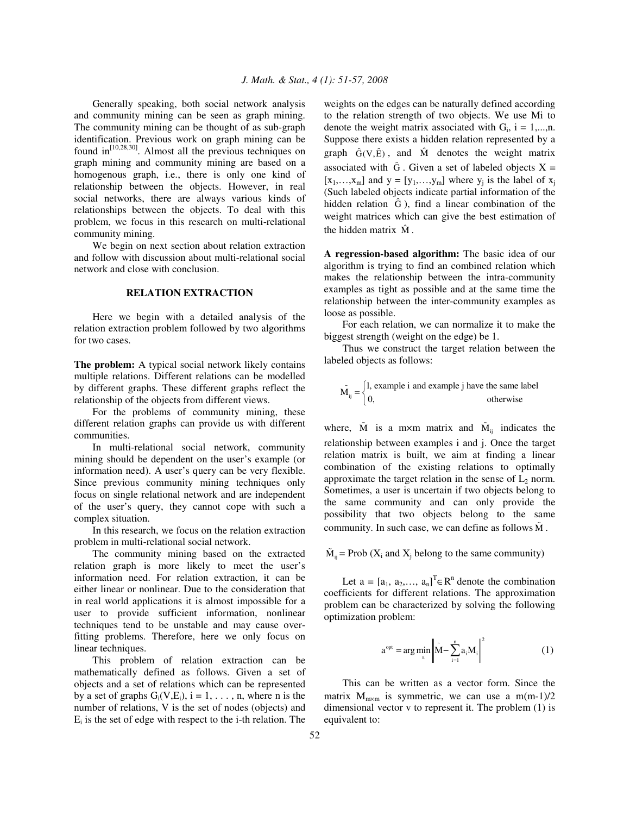Generally speaking, both social network analysis and community mining can be seen as graph mining. The community mining can be thought of as sub-graph identification. Previous work on graph mining can be found in $\left[10,28,30\right]$ . Almost all the previous techniques on graph mining and community mining are based on a homogenous graph, i.e., there is only one kind of relationship between the objects. However, in real social networks, there are always various kinds of relationships between the objects. To deal with this problem, we focus in this research on multi-relational community mining.

We begin on next section about relation extraction and follow with discussion about multi-relational social network and close with conclusion.

## **RELATION EXTRACTION**

Here we begin with a detailed analysis of the relation extraction problem followed by two algorithms for two cases.

**The problem:** A typical social network likely contains multiple relations. Different relations can be modelled by different graphs. These different graphs reflect the relationship of the objects from different views.

For the problems of community mining, these different relation graphs can provide us with different communities.

In multi-relational social network, community mining should be dependent on the user's example (or information need). A user's query can be very flexible. Since previous community mining techniques only focus on single relational network and are independent of the user's query, they cannot cope with such a complex situation.

In this research, we focus on the relation extraction problem in multi-relational social network.

The community mining based on the extracted relation graph is more likely to meet the user's information need. For relation extraction, it can be either linear or nonlinear. Due to the consideration that in real world applications it is almost impossible for a user to provide sufficient information, nonlinear techniques tend to be unstable and may cause overfitting problems. Therefore, here we only focus on linear techniques.

This problem of relation extraction can be mathematically defined as follows. Given a set of objects and a set of relations which can be represented by a set of graphs  $G_i(V,E_i)$ ,  $i = 1, \ldots, n$ , where n is the number of relations, V is the set of nodes (objects) and  $E_i$  is the set of edge with respect to the i-th relation. The

weights on the edges can be naturally defined according to the relation strength of two objects. We use Mi to denote the weight matrix associated with  $G_i$ , i = 1,...,n. Suppose there exists a hidden relation represented by a graph  $\hat{G}(V, \hat{E})$ , and  $\hat{M}$  denotes the weight matrix associated with  $\hat{G}$ . Given a set of labeled objects  $X =$  $[x_1,...,x_m]$  and  $y = [y_1,...,y_m]$  where  $y_j$  is the label of  $x_j$ (Such labeled objects indicate partial information of the hidden relation  $\hat{G}$ ), find a linear combination of the weight matrices which can give the best estimation of the hidden matrix  $\hat{M}$ .

**A regression-based algorithm:** The basic idea of our algorithm is trying to find an combined relation which makes the relationship between the intra-community examples as tight as possible and at the same time the relationship between the inter-community examples as loose as possible.

For each relation, we can normalize it to make the biggest strength (weight on the edge) be 1.

Thus we construct the target relation between the labeled objects as follows:

$$
\tilde{M}_{ij} = \begin{cases} 1, & \text{example } i \text{ and example } j \text{ have the same label} \\ 0, & \text{otherwise} \end{cases}
$$

where,  $\tilde{M}$  is a m×m matrix and  $\tilde{M}_{ij}$  indicates the relationship between examples i and j. Once the target relation matrix is built, we aim at finding a linear combination of the existing relations to optimally approximate the target relation in the sense of  $L_2$  norm. Sometimes, a user is uncertain if two objects belong to the same community and can only provide the possibility that two objects belong to the same community. In such case, we can define as follows  $\tilde{M}$ .

 $\tilde{M}_{ij}$  = Prob ( $X_i$  and  $X_j$  belong to the same community)

Let  $a = [a_1, a_2,..., a_n]^T \in \mathbb{R}^n$  denote the combination coefficients for different relations. The approximation problem can be characterized by solving the following optimization problem:

$$
a^{\text{opt}} = \arg\min_{a} \left\| \tilde{M} - \sum_{i=1}^{n} a_i M_i \right\|^2 \tag{1}
$$

This can be written as a vector form. Since the matrix  $M_{m \times m}$  is symmetric, we can use a m(m-1)/2 dimensional vector v to represent it. The problem (1) is equivalent to: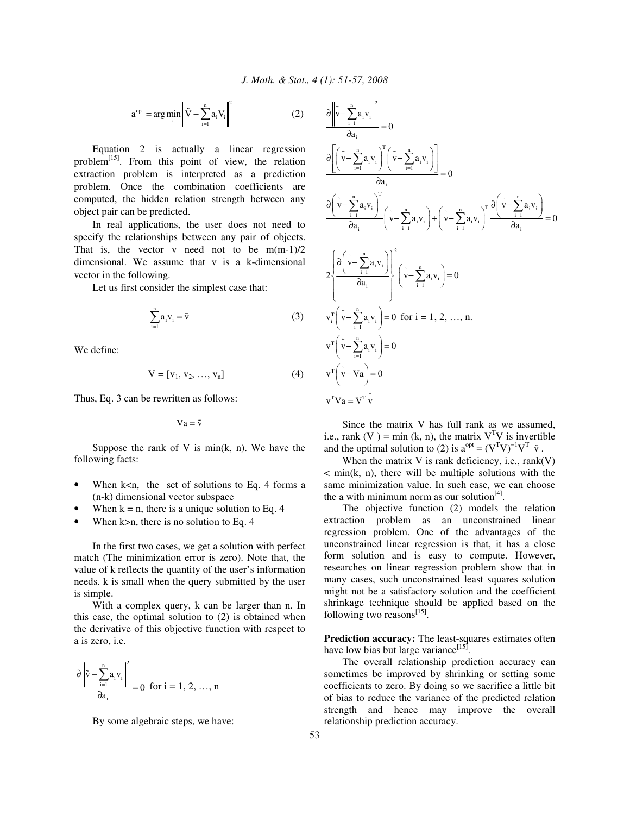$$
a^{opt} = \arg\min_{a} \left\| \tilde{V} - \sum_{i=1}^{n} a_i V_i \right\|^2 \tag{2}
$$

Equation 2 is actually a linear regression problem<sup>[15]</sup>. From this point of view, the relation extraction problem is interpreted as a prediction problem. Once the combination coefficients are computed, the hidden relation strength between any object pair can be predicted.

In real applications, the user does not need to specify the relationships between any pair of objects. That is, the vector v need not to be  $m(m-1)/2$ dimensional. We assume that v is a k-dimensional vector in the following.

Let us first consider the simplest case that:

$$
\sum_{i=1}^{n} a_i v_i = \tilde{v}
$$
 (3)

We define:

$$
V = [v_1, v_2, ..., v_n]
$$
 (4)

Thus, Eq. 3 can be rewritten as follows:

 $Va = \tilde{v}$ 

Suppose the rank of  $V$  is min(k, n). We have the following facts:

- When  $k$ <n, the set of solutions to Eq. 4 forms a (n-k) dimensional vector subspace
- When  $k = n$ , there is a unique solution to Eq. 4
- When  $k>n$ , there is no solution to Eq. 4

In the first two cases, we get a solution with perfect match (The minimization error is zero). Note that, the value of k reflects the quantity of the user's information needs. k is small when the query submitted by the user is simple.

With a complex query, k can be larger than n. In this case, the optimal solution to (2) is obtained when the derivative of this objective function with respect to a is zero, i.e.

$$
\frac{\partial \left\| \tilde{v} - \sum_{i=1}^n a_i v_i \right\|^2}{\partial a_i} = 0 \text{ for } i = 1, 2, ..., n
$$

By some algebraic steps, we have:

$$
\begin{aligned} &\frac{\partial \left\| \tilde{v} - \sum_{i=1}^n a_i v_i \right\|^2}{\partial a_i} = 0 \\ &\frac{\partial \left[ \left( \tilde{v} - \sum_{i=1}^n a_i v_i \right)^T \left( \tilde{v} - \sum_{i=1}^n a_i v_i \right) \right]}{\partial a_i} = 0 \\ &\frac{\partial \left( \tilde{v} - \sum_{i=1}^n a_i v_i \right)^T}{\partial a_i} \left( \tilde{v} - \sum_{i=1}^n a_i v_i \right) + \left( \tilde{v} - \sum_{i=1}^n a_i v_i \right)^T \frac{\partial \left( \tilde{v} - \sum_{i=1}^n a_i v_i \right)}{\partial a_i} = 0 \\ &2 \left\{ \frac{\partial \left( \tilde{v} - \sum_{i=1}^n a_i v_i \right)}{\partial a_i} \right\}^2 \left( \tilde{v} - \sum_{i=1}^n a_i v_i \right) = 0 \\ &v_i^T \left( \tilde{v} - \sum_{i=1}^n a_i v_i \right) = 0 \text{ for } i = 1, 2, ..., n. \\ &v_i^T \left( \tilde{v} - \sum_{i=1}^n a_i v_i \right) = 0 \\ &v_i^T \left( \tilde{v} - \text{Va} \right) = 0 \\ &v_i^T \text{Va} = \text{V}^T \tilde{v} \end{aligned}
$$

Since the matrix V has full rank as we assumed, i.e., rank  $(V)$  = min  $(k, n)$ , the matrix  $V<sup>T</sup>V$  is invertible and the optimal solution to (2) is  $a^{opt} = (V^{T}V)^{-1}V^{T}$   $\tilde{v}$ .

When the matrix  $V$  is rank deficiency, i.e., rank $(V)$  $\leq$  min(k, n), there will be multiple solutions with the same minimization value. In such case, we can choose the a with minimum norm as our solution $^{[4]}$ .

The objective function (2) models the relation extraction problem as an unconstrained linear regression problem. One of the advantages of the unconstrained linear regression is that, it has a close form solution and is easy to compute. However, researches on linear regression problem show that in many cases, such unconstrained least squares solution might not be a satisfactory solution and the coefficient shrinkage technique should be applied based on the following two reasons<sup>[15]</sup>.

**Prediction accuracy:** The least-squares estimates often have low bias but large variance<sup>[15]</sup>.

The overall relationship prediction accuracy can sometimes be improved by shrinking or setting some coefficients to zero. By doing so we sacrifice a little bit of bias to reduce the variance of the predicted relation strength and hence may improve the overall relationship prediction accuracy.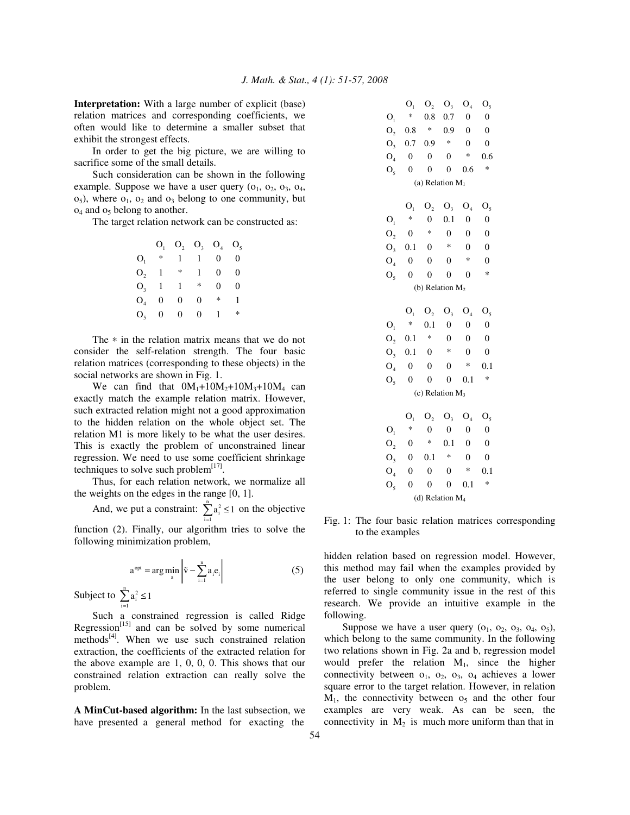**Interpretation:** With a large number of explicit (base) relation matrices and corresponding coefficients, we often would like to determine a smaller subset that exhibit the strongest effects.

In order to get the big picture, we are willing to sacrifice some of the small details.

Such consideration can be shown in the following example. Suppose we have a user query  $(o_1, o_2, o_3, o_4, o_5)$  $o<sub>5</sub>$ ), where  $o<sub>1</sub>$ ,  $o<sub>2</sub>$  and  $o<sub>3</sub>$  belong to one community, but  $o_4$  and  $o_5$  belong to another.

The target relation network can be constructed as:

|                    | O <sub>1</sub> |                  |              | $O_2$ $O_3$ $O_4$ $O_5$ |                |
|--------------------|----------------|------------------|--------------|-------------------------|----------------|
| O <sub>1</sub>     | ∗              | $\mathbf{1}$     | $\mathbf{1}$ | 0                       | $\overline{0}$ |
| $O_{2}$            | -1             | *                | $\mathbf{1}$ | 0                       | $\overline{0}$ |
| $O_{\overline{3}}$ | $\mathbf{1}$   | 1                | *            | 0                       | $\overline{0}$ |
| $O_4$              | 0              | $\overline{0}$   | $\theta$     | *                       | 1              |
| $O_{5}$            | 0              | $\boldsymbol{0}$ | 0            | $\overline{1}$          | *              |

The ∗ in the relation matrix means that we do not consider the self-relation strength. The four basic relation matrices (corresponding to these objects) in the social networks are shown in Fig. 1.

We can find that  $0M_1+10M_2+10M_3+10M_4$  can exactly match the example relation matrix. However, such extracted relation might not a good approximation to the hidden relation on the whole object set. The relation M1 is more likely to be what the user desires. This is exactly the problem of unconstrained linear regression. We need to use some coefficient shrinkage techniques to solve such problem $^{[17]}$ .

Thus, for each relation network, we normalize all the weights on the edges in the range [0, 1].

And, we put a constraint:  $\sum_{i=1}^{n} a_i^2 \le 1$  on the objective  $i = 1$ =

function (2). Finally, our algorithm tries to solve the following minimization problem,

$$
a^{\mathrm{opt}} = \arg\min_{a} \left\| \tilde{v} - \sum_{i=1}^{n} a_i e_i \right\| \tag{5}
$$

Subject to  $\sum_{i=1}^{n} a_i^2 \leq 1$ 

Such a constrained regression is called Ridge Regression $\left[15\right]$  and can be solved by some numerical methods [4] . When we use such constrained relation extraction, the coefficients of the extracted relation for the above example are 1, 0, 0, 0. This shows that our constrained relation extraction can really solve the problem.

**A MinCut-based algorithm:** In the last subsection, we have presented a general method for exacting the

|                     | O <sub>1</sub>   | O <sub>2</sub>          | $O_3$ $O_4$                       |                  | O <sub>5</sub>   |  |
|---------------------|------------------|-------------------------|-----------------------------------|------------------|------------------|--|
| O <sub>1</sub>      | *.               | 0.8                     | $0.7\,$                           | $\boldsymbol{0}$ | $\boldsymbol{0}$ |  |
| O <sub>2</sub>      | 0.8              | *                       | 0.9 <sub>o</sub>                  | $\mathbf{0}$     | $\boldsymbol{0}$ |  |
| O <sub>3</sub>      | 0.7              | 0.9 <sup>°</sup>        | $\ast$                            | $\overline{0}$   | $\boldsymbol{0}$ |  |
| O <sub>4</sub>      | $\boldsymbol{0}$ | $\overline{0}$          | $\overline{0}$                    | *                | 0.6              |  |
| O <sub>5</sub>      | $\boldsymbol{0}$ | $\overline{0}$          | $\begin{array}{cc} 0 \end{array}$ | 0.6              | ×                |  |
| (a) Relation $M_1$  |                  |                         |                                   |                  |                  |  |
|                     | $O_{1}$          | O <sub>2</sub>          | $O_3$                             | O <sub>4</sub>   | O <sub>5</sub>   |  |
| O <sub>1</sub>      | *                |                         | $0 \t 0.1 \t 0$                   |                  | $\boldsymbol{0}$ |  |
| O <sub>2</sub>      | $\overline{0}$   | $\ast$                  | $\overline{0}$                    | $\boldsymbol{0}$ | $\boldsymbol{0}$ |  |
| $O_3$               | 0.1              | $\mathbf{0}$            | $\ast$                            | $\overline{0}$   | $\overline{0}$   |  |
| O <sub>4</sub>      | $\boldsymbol{0}$ | $\overline{0}$          | $\theta$                          | *                | $\overline{0}$   |  |
| O <sub>5</sub>      | $\overline{0}$   | $\overline{\mathbf{0}}$ | $\overline{\mathbf{0}}$           | $\theta$         | *                |  |
|                     |                  | (b) Relation $M_2$      |                                   |                  |                  |  |
|                     | O <sub>1</sub>   | O <sub>2</sub>          | $O_3$                             | O <sub>4</sub>   | O <sub>5</sub>   |  |
| O <sub>1</sub>      | *.               | 0.1                     | $\overline{0}$                    | $\boldsymbol{0}$ | $\boldsymbol{0}$ |  |
| O <sub>2</sub>      | 0.1              | $\ast$                  | $\overline{0}$                    | $\mathbf{0}$     | $\boldsymbol{0}$ |  |
| O <sub>3</sub>      | 0.1              | $\overline{0}$          | $\ast$                            | $\overline{0}$   | $\mathbf{0}$     |  |
| O <sub>4</sub>      | $\mathbf{0}$     | $0\qquad 0$             |                                   | $\ast$           | 0.1              |  |
| O <sub>5</sub>      |                  | $0\qquad 0$             | $\overline{0}$                    | 0.1              | *                |  |
|                     |                  | (c) Relation $M_3$      |                                   |                  |                  |  |
|                     | O <sub>1</sub>   | Ο,                      | $O_3$                             | O <sub>4</sub>   | O <sub>5</sub>   |  |
| O <sub>1</sub>      | *                | $\overline{0}$          | $\overline{0}$                    | $\overline{0}$   | $\boldsymbol{0}$ |  |
| O <sub>2</sub>      | $\boldsymbol{0}$ | $\ast$                  | 0.1                               | $\overline{0}$   | $\mathbf{0}$     |  |
| O <sub>3</sub>      | 0                | 0.1                     | $\ast$                            | $\overline{0}$   | 0                |  |
| O <sub>4</sub>      | 0                | $\boldsymbol{0}$        | $\overline{0}$                    | $\ast$           | 0.1              |  |
| O <sub>5</sub>      | 0                | $\overline{0}$          |                                   | $0 \t 0.1$       | *                |  |
| $(d)$ Relation $M4$ |                  |                         |                                   |                  |                  |  |

Fig. 1: The four basic relation matrices corresponding to the examples

hidden relation based on regression model. However, this method may fail when the examples provided by the user belong to only one community, which is referred to single community issue in the rest of this research. We provide an intuitive example in the following.

Suppose we have a user query  $(o_1, o_2, o_3, o_4, o_5)$ , which belong to the same community. In the following two relations shown in Fig. 2a and b, regression model would prefer the relation  $M_1$ , since the higher connectivity between  $o_1$ ,  $o_2$ ,  $o_3$ ,  $o_4$  achieves a lower square error to the target relation. However, in relation  $M_1$ , the connectivity between  $o_5$  and the other four examples are very weak. As can be seen, the connectivity in  $M_2$  is much more uniform than that in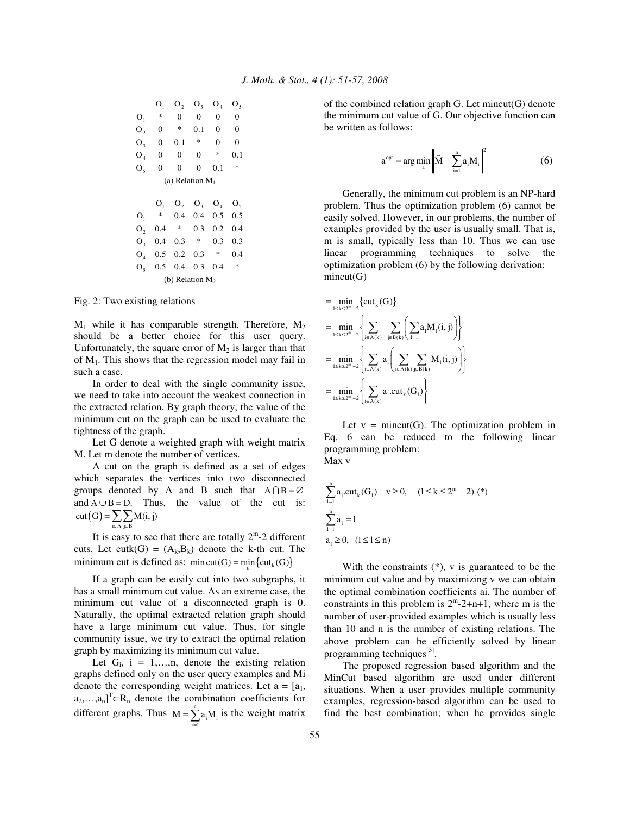|                | O <sub>1</sub>     | $\mathbf{O}_2$ | $O_{\rm a}$    | O <sub>4</sub> | 0,             |  |  |
|----------------|--------------------|----------------|----------------|----------------|----------------|--|--|
| O <sub>1</sub> | *                  | 0              | 0              | $\theta$       | 0              |  |  |
| О,             | 0                  | *              | 0.1            | $\overline{0}$ | 0              |  |  |
| O <sub>3</sub> | 0                  | 0.1            | *              | $\theta$       | 0              |  |  |
| $O_{\rm A}$    | 0                  | $\theta$       | $\theta$       | ∗              | 0.1            |  |  |
| О,             | 0                  | 0              | $\theta$       | 0.1            | *              |  |  |
|                | (a) Relation $M_1$ |                |                |                |                |  |  |
|                |                    |                |                |                |                |  |  |
|                |                    |                |                |                |                |  |  |
|                | O <sub>1</sub>     | $\mathbf{O}_2$ | O <sub>3</sub> | O <sub>4</sub> | O <sub>5</sub> |  |  |
| O <sub>1</sub> | ∗                  | 0.4            | 0.4            | 0.5            | 0.5            |  |  |
| Ο,             | 0.4                | *              | 0.3            | 0.2            | 0.4            |  |  |
| $O_{\rm a}$    | 0.4                | 0.3            | *              | 0.3            | 0.3            |  |  |
| O <sub>4</sub> | 0.5                | 0.2            | 0.3            | $*$            | 0.4            |  |  |
| O <sub>5</sub> | 0.5                | 0.4            | 0.3            | 0.4            | *              |  |  |

Fig. 2: Two existing relations

 $M_1$  while it has comparable strength. Therefore,  $M_2$ should be a better choice for this user query. Unfortunately, the square error of  $M_2$  is larger than that of  $M_1$ . This shows that the regression model may fail in such a case.

In order to deal with the single community issue, we need to take into account the weakest connection in the extracted relation. By graph theory, the value of the minimum cut on the graph can be used to evaluate the tightness of the graph.

Let G denote a weighted graph with weight matrix M. Let m denote the number of vertices.

A cut on the graph is defined as a set of edges which separates the vertices into two disconnected groups denoted by A and B such that  $A \cap B = \emptyset$ and  $A \cup B = D$ . Thus, the value of the cut is:  $cut(G) = \sum_{i \in A} \sum_{j \in B} M(i, j)$ 

It is easy to see that there are totally  $2^{\text{m}}$ -2 different cuts. Let cutk(G) =  $(A_k, B_k)$  denote the k-th cut. The minimum cut is defined as:  $mincut(G) = min_{k} \{cut_{k}(G)\}\$ 

If a graph can be easily cut into two subgraphs, it has a small minimum cut value. As an extreme case, the minimum cut value of a disconnected graph is 0. Naturally, the optimal extracted relation graph should have a large minimum cut value. Thus, for single community issue, we try to extract the optimal relation graph by maximizing its minimum cut value.

Let  $G_i$ , i = 1,...,n, denote the existing relation graphs defined only on the user query examples and Mi denote the corresponding weight matrices. Let  $a = [a_1, a_2]$  $[a_2,...,a_n]^T \in R_n$  denote the combination coefficients for different graphs. Thus  $M = \sum_{n=1}^{\infty}$  $M = \sum_{i=1}^{n} a_i M_i$  is the weight matrix of the combined relation graph G. Let mincut(G) denote the minimum cut value of G. Our objective function can be written as follows:

$$
a^{\text{opt}} = \arg\min_{a} \left\| \tilde{M} - \sum_{i=1}^{n} a_i M_i \right\|^2 \tag{6}
$$

Generally, the minimum cut problem is an NP-hard problem. Thus the optimization problem (6) cannot be easily solved. However, in our problems, the number of examples provided by the user is usually small. That is, m is small, typically less than 10. Thus we can use linear programming techniques to solve the optimization problem (6) by the following derivation: mincut(G)

$$
= \min_{1 \le k \le 2^m - 2} \{ cut_k(G) \}
$$
  
\n
$$
= \min_{1 \le k \le 2^m - 2} \left\{ \sum_{i \in A(k)} \sum_{j \in B(k)} \left( \sum_{l=1} a_l M_l(i,j) \right) \right\}
$$
  
\n
$$
= \min_{1 \le k \le 2^m - 2} \left\{ \sum_{i \in A(k)} a_i \left( \sum_{i \in A(k)} \sum_{j \in B(k)} M_l(i,j) \right) \right\}
$$
  
\n
$$
= \min_{1 \le k \le 2^m - 2} \left\{ \sum_{i \in A(k)} a_i \text{cut}_k(G_i) \right\}
$$

Let  $v = mincut(G)$ . The optimization problem in Eq. 6 can be reduced to the following linear programming problem: Max v

$$
\sum_{l=1}^{n} a_{l} \cdot \text{cut}_{k}(G_{l}) - v \ge 0, \quad (1 \le k \le 2^{m} - 2) (*)
$$
  

$$
\sum_{l=1}^{n} a_{l} = 1
$$
  

$$
a_{l} \ge 0, \quad (1 \le l \le n)
$$

With the constraints (\*), v is guaranteed to be the minimum cut value and by maximizing v we can obtain the optimal combination coefficients ai. The number of constraints in this problem is  $2^m-2+n+1$ , where m is the number of user-provided examples which is usually less than 10 and n is the number of existing relations. The above problem can be efficiently solved by linear programming techniques<sup>[3]</sup>.

The proposed regression based algorithm and the MinCut based algorithm are used under different situations. When a user provides multiple community examples, regression-based algorithm can be used to find the best combination; when he provides single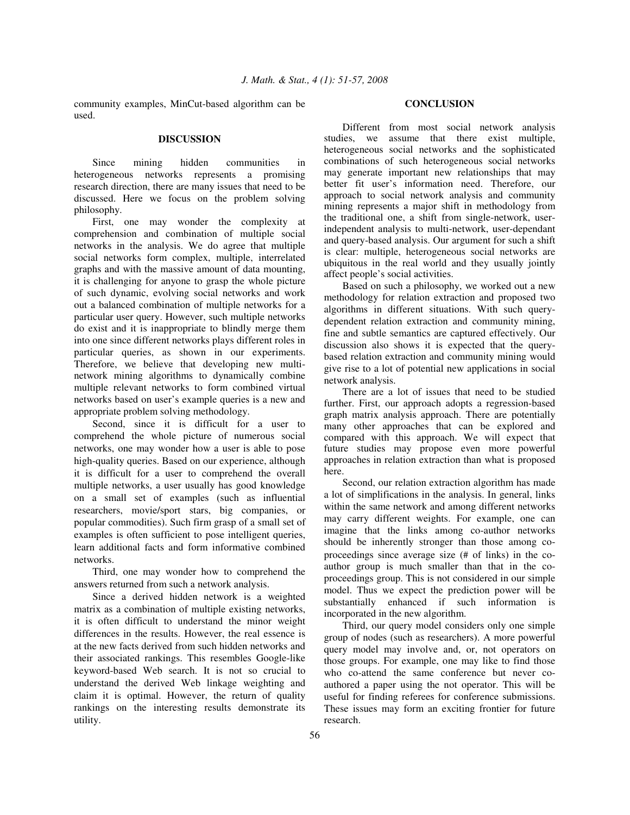community examples, MinCut-based algorithm can be used.

#### **DISCUSSION**

Since mining hidden communities in heterogeneous networks represents a promising research direction, there are many issues that need to be discussed. Here we focus on the problem solving philosophy.

First, one may wonder the complexity at comprehension and combination of multiple social networks in the analysis. We do agree that multiple social networks form complex, multiple, interrelated graphs and with the massive amount of data mounting, it is challenging for anyone to grasp the whole picture of such dynamic, evolving social networks and work out a balanced combination of multiple networks for a particular user query. However, such multiple networks do exist and it is inappropriate to blindly merge them into one since different networks plays different roles in particular queries, as shown in our experiments. Therefore, we believe that developing new multinetwork mining algorithms to dynamically combine multiple relevant networks to form combined virtual networks based on user's example queries is a new and appropriate problem solving methodology.

Second, since it is difficult for a user to comprehend the whole picture of numerous social networks, one may wonder how a user is able to pose high-quality queries. Based on our experience, although it is difficult for a user to comprehend the overall multiple networks, a user usually has good knowledge on a small set of examples (such as influential researchers, movie/sport stars, big companies, or popular commodities). Such firm grasp of a small set of examples is often sufficient to pose intelligent queries, learn additional facts and form informative combined networks.

Third, one may wonder how to comprehend the answers returned from such a network analysis.

Since a derived hidden network is a weighted matrix as a combination of multiple existing networks, it is often difficult to understand the minor weight differences in the results. However, the real essence is at the new facts derived from such hidden networks and their associated rankings. This resembles Google-like keyword-based Web search. It is not so crucial to understand the derived Web linkage weighting and claim it is optimal. However, the return of quality rankings on the interesting results demonstrate its utility.

### **CONCLUSION**

Different from most social network analysis studies, we assume that there exist multiple, heterogeneous social networks and the sophisticated combinations of such heterogeneous social networks may generate important new relationships that may better fit user's information need. Therefore, our approach to social network analysis and community mining represents a major shift in methodology from the traditional one, a shift from single-network, userindependent analysis to multi-network, user-dependant and query-based analysis. Our argument for such a shift is clear: multiple, heterogeneous social networks are ubiquitous in the real world and they usually jointly affect people's social activities.

Based on such a philosophy, we worked out a new methodology for relation extraction and proposed two algorithms in different situations. With such querydependent relation extraction and community mining, fine and subtle semantics are captured effectively. Our discussion also shows it is expected that the querybased relation extraction and community mining would give rise to a lot of potential new applications in social network analysis.

There are a lot of issues that need to be studied further. First, our approach adopts a regression-based graph matrix analysis approach. There are potentially many other approaches that can be explored and compared with this approach. We will expect that future studies may propose even more powerful approaches in relation extraction than what is proposed here.

Second, our relation extraction algorithm has made a lot of simplifications in the analysis. In general, links within the same network and among different networks may carry different weights. For example, one can imagine that the links among co-author networks should be inherently stronger than those among coproceedings since average size (# of links) in the coauthor group is much smaller than that in the coproceedings group. This is not considered in our simple model. Thus we expect the prediction power will be substantially enhanced if such information is incorporated in the new algorithm.

Third, our query model considers only one simple group of nodes (such as researchers). A more powerful query model may involve and, or, not operators on those groups. For example, one may like to find those who co-attend the same conference but never coauthored a paper using the not operator. This will be useful for finding referees for conference submissions. These issues may form an exciting frontier for future research.